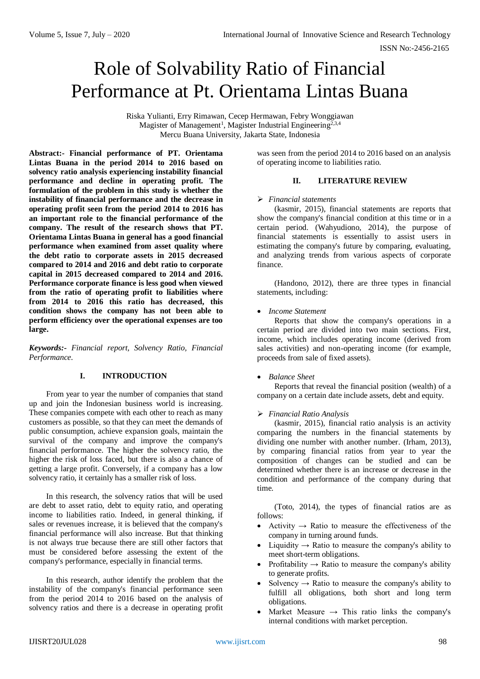# Role of Solvability Ratio of Financial Performance at Pt. Orientama Lintas Buana

Riska Yulianti, Erry Rimawan, Cecep Hermawan, Febry Wonggiawan Magister of Management<sup>1</sup>, Magister Industrial Engineering<sup>2,3,4</sup> Mercu Buana University, Jakarta State, Indonesia

**Abstract:- Financial performance of PT. Orientama Lintas Buana in the period 2014 to 2016 based on solvency ratio analysis experiencing instability financial performance and decline in operating profit. The formulation of the problem in this study is whether the instability of financial performance and the decrease in operating profit seen from the period 2014 to 2016 has an important role to the financial performance of the company. The result of the research shows that PT. Orientama Lintas Buana in general has a good financial performance when examined from asset quality where the debt ratio to corporate assets in 2015 decreased compared to 2014 and 2016 and debt ratio to corporate capital in 2015 decreased compared to 2014 and 2016. Performance corporate finance is less good when viewed from the ratio of operating profit to liabilities where from 2014 to 2016 this ratio has decreased, this condition shows the company has not been able to perform efficiency over the operational expenses are too large.** 

*Keywords:- Financial report, Solvency Ratio, Financial Performance.*

### **I. INTRODUCTION**

From year to year the number of companies that stand up and join the Indonesian business world is increasing. These companies compete with each other to reach as many customers as possible, so that they can meet the demands of public consumption, achieve expansion goals, maintain the survival of the company and improve the company's financial performance. The higher the solvency ratio, the higher the risk of loss faced, but there is also a chance of getting a large profit. Conversely, if a company has a low solvency ratio, it certainly has a smaller risk of loss.

In this research, the solvency ratios that will be used are debt to asset ratio, debt to equity ratio, and operating income to liabilities ratio. Indeed, in general thinking, if sales or revenues increase, it is believed that the company's financial performance will also increase. But that thinking is not always true because there are still other factors that must be considered before assessing the extent of the company's performance, especially in financial terms.

In this research, author identify the problem that the instability of the company's financial performance seen from the period 2014 to 2016 based on the analysis of solvency ratios and there is a decrease in operating profit

was seen from the period 2014 to 2016 based on an analysis of operating income to liabilities ratio.

#### **II. LITERATURE REVIEW**

#### *Financial statements*

(kasmir, 2015), financial statements are reports that show the company's financial condition at this time or in a certain period. (Wahyudiono, 2014), the purpose of financial statements is essentially to assist users in estimating the company's future by comparing, evaluating, and analyzing trends from various aspects of corporate finance.

(Handono, 2012), there are three types in financial statements, including:

#### *Income Statement*

Reports that show the company's operations in a certain period are divided into two main sections. First, income, which includes operating income (derived from sales activities) and non-operating income (for example, proceeds from sale of fixed assets).

#### *Balance Sheet*

Reports that reveal the financial position (wealth) of a company on a certain date include assets, debt and equity.

#### *Financial Ratio Analysis*

(kasmir, 2015), financial ratio analysis is an activity comparing the numbers in the financial statements by dividing one number with another number. (Irham, 2013), by comparing financial ratios from year to year the composition of changes can be studied and can be determined whether there is an increase or decrease in the condition and performance of the company during that time.

(Toto, 2014), the types of financial ratios are as follows:

- Activity  $\rightarrow$  Ratio to measure the effectiveness of the company in turning around funds.
- Liquidity  $\rightarrow$  Ratio to measure the company's ability to meet short-term obligations.
- Profitability  $\rightarrow$  Ratio to measure the company's ability to generate profits.
- Solvency  $\rightarrow$  Ratio to measure the company's ability to fulfill all obligations, both short and long term obligations.
- Market Measure  $\rightarrow$  This ratio links the company's internal conditions with market perception.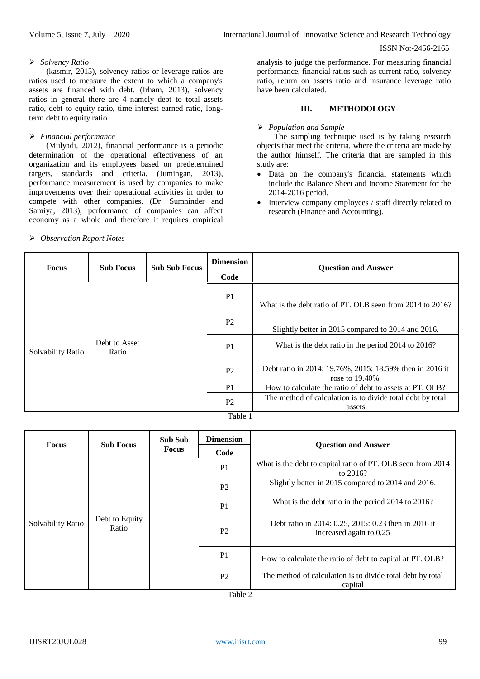#### ISSN No:-2456-2165

#### *Solvency Ratio*

(kasmir, 2015), solvency ratios or leverage ratios are ratios used to measure the extent to which a company's assets are financed with debt. (Irham, 2013), solvency ratios in general there are 4 namely debt to total assets ratio, debt to equity ratio, time interest earned ratio, longterm debt to equity ratio.

#### *Financial performance*

(Mulyadi, 2012), financial performance is a periodic determination of the operational effectiveness of an organization and its employees based on predetermined targets, standards and criteria. (Jumingan, 2013), performance measurement is used by companies to make improvements over their operational activities in order to compete with other companies. (Dr. Sumninder and Samiya, 2013), performance of companies can affect economy as a whole and therefore it requires empirical

#### *Observation Report Notes*

analysis to judge the performance. For measuring financial performance, financial ratios such as current ratio, solvency ratio, return on assets ratio and insurance leverage ratio have been calculated.

## **III. METHODOLOGY**

### *Population and Sample*

The sampling technique used is by taking research objects that meet the criteria, where the criteria are made by the author himself. The criteria that are sampled in this study are:

- Data on the company's financial statements which include the Balance Sheet and Income Statement for the 2014-2016 period.
- Interview company employees / staff directly related to research (Finance and Accounting).

| <b>Focus</b>      | <b>Sub Focus</b>       | <b>Sub Sub Focus</b> | <b>Dimension</b> | <b>Question and Answer</b>                                                  |
|-------------------|------------------------|----------------------|------------------|-----------------------------------------------------------------------------|
|                   |                        |                      | Code             |                                                                             |
|                   |                        |                      | P <sub>1</sub>   | What is the debt ratio of PT. OLB seen from 2014 to 2016?                   |
| Solvability Ratio | Debt to Asset<br>Ratio |                      | P <sub>2</sub>   | Slightly better in 2015 compared to 2014 and 2016.                          |
|                   |                        |                      | P <sub>1</sub>   | What is the debt ratio in the period 2014 to 2016?                          |
|                   |                        |                      | P <sub>2</sub>   | Debt ratio in 2014: 19.76%, 2015: 18.59% then in 2016 it<br>rose to 19.40%. |
|                   |                        |                      | P <sub>1</sub>   | How to calculate the ratio of debt to assets at PT. OLB?                    |
|                   |                        |                      | P <sub>2</sub>   | The method of calculation is to divide total debt by total<br>assets        |
| Table 1           |                        |                      |                  |                                                                             |

#### Table 1

| <b>Focus</b>      | <b>Sub Focus</b>        | <b>Sub Sub</b><br><b>Focus</b> | <b>Dimension</b> | <b>Question and Answer</b>                                                      |  |
|-------------------|-------------------------|--------------------------------|------------------|---------------------------------------------------------------------------------|--|
|                   |                         |                                | Code             |                                                                                 |  |
| Solvability Ratio | Debt to Equity<br>Ratio |                                | P <sub>1</sub>   | What is the debt to capital ratio of PT. OLB seen from 2014<br>to $2016?$       |  |
|                   |                         |                                | P <sub>2</sub>   | Slightly better in 2015 compared to 2014 and 2016.                              |  |
|                   |                         |                                | P <sub>1</sub>   | What is the debt ratio in the period 2014 to 2016?                              |  |
|                   |                         |                                | P <sub>2</sub>   | Debt ratio in 2014: 0.25, 2015: 0.23 then in 2016 it<br>increased again to 0.25 |  |
|                   |                         |                                | P <sub>1</sub>   | How to calculate the ratio of debt to capital at PT. OLB?                       |  |
|                   |                         |                                | P <sub>2</sub>   | The method of calculation is to divide total debt by total<br>capital           |  |

Table 2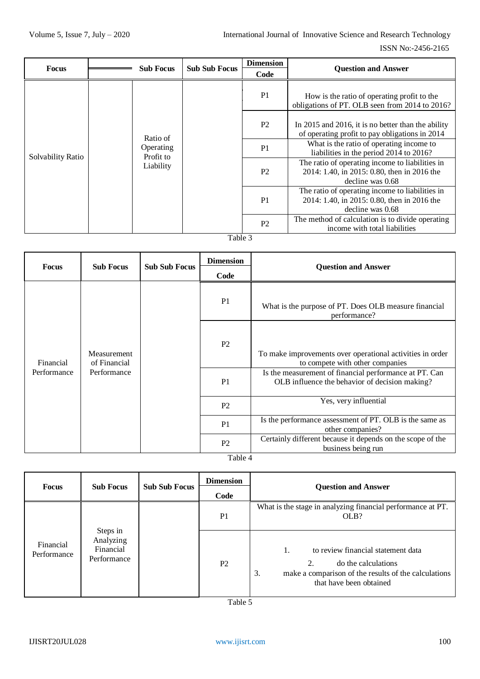ISSN No:-2456-2165

| <b>Focus</b>      | <b>Sub Focus</b>                                | <b>Sub Sub Focus</b> | <b>Dimension</b> | <b>Question and Answer</b>                                                                                         |
|-------------------|-------------------------------------------------|----------------------|------------------|--------------------------------------------------------------------------------------------------------------------|
|                   |                                                 |                      | Code             |                                                                                                                    |
|                   |                                                 |                      | P <sub>1</sub>   | How is the ratio of operating profit to the<br>obligations of PT. OLB seen from 2014 to 2016?                      |
| Solvability Ratio | Ratio of<br>Operating<br>Profit to<br>Liability | $T$ . 1. 1. $\Omega$ | P <sub>2</sub>   | In 2015 and 2016, it is no better than the ability<br>of operating profit to pay obligations in 2014               |
|                   |                                                 |                      | P <sub>1</sub>   | What is the ratio of operating income to<br>liabilities in the period 2014 to 2016?                                |
|                   |                                                 |                      | P <sub>2</sub>   | The ratio of operating income to liabilities in<br>2014: 1.40, in 2015: 0.80, then in 2016 the<br>decline was 0.68 |
|                   |                                                 |                      | P <sub>1</sub>   | The ratio of operating income to liabilities in<br>2014: 1.40, in 2015: 0.80, then in 2016 the<br>decline was 0.68 |
|                   |                                                 |                      | P <sub>2</sub>   | The method of calculation is to divide operating<br>income with total liabilities                                  |

## Table 3

| <b>Focus</b>             | <b>Sub Focus</b>                           | <b>Sub Sub Focus</b> | <b>Dimension</b><br>Code   | <b>Question and Answer</b>                                                                               |
|--------------------------|--------------------------------------------|----------------------|----------------------------|----------------------------------------------------------------------------------------------------------|
| Financial<br>Performance | Measurement<br>of Financial<br>Performance |                      | P <sub>1</sub>             | What is the purpose of PT. Does OLB measure financial<br>performance?                                    |
|                          |                                            |                      | P <sub>2</sub>             | To make improvements over operational activities in order<br>to compete with other companies             |
|                          |                                            |                      | P <sub>1</sub>             | Is the measurement of financial performance at PT. Can<br>OLB influence the behavior of decision making? |
|                          |                                            |                      | P <sub>2</sub>             | Yes, very influential                                                                                    |
|                          |                                            |                      | P <sub>1</sub>             | Is the performance assessment of PT. OLB is the same as<br>other companies?                              |
|                          |                                            |                      | P <sub>2</sub><br>700 11 1 | Certainly different because it depends on the scope of the<br>business being run                         |

Table 4

| <b>Focus</b>             | <b>Sub Focus</b>                                  | <b>Sub Sub Focus</b> | <b>Dimension</b> | <b>Question and Answer</b>                                                                                                                               |
|--------------------------|---------------------------------------------------|----------------------|------------------|----------------------------------------------------------------------------------------------------------------------------------------------------------|
|                          |                                                   |                      | Code             |                                                                                                                                                          |
|                          |                                                   |                      | P <sub>1</sub>   | What is the stage in analyzing financial performance at PT.<br>OLB?                                                                                      |
| Financial<br>Performance | Steps in<br>Analyzing<br>Financial<br>Performance |                      | P <sub>2</sub>   | to review financial statement data<br>1.<br>do the calculations<br>3.<br>make a comparison of the results of the calculations<br>that have been obtained |

Table 5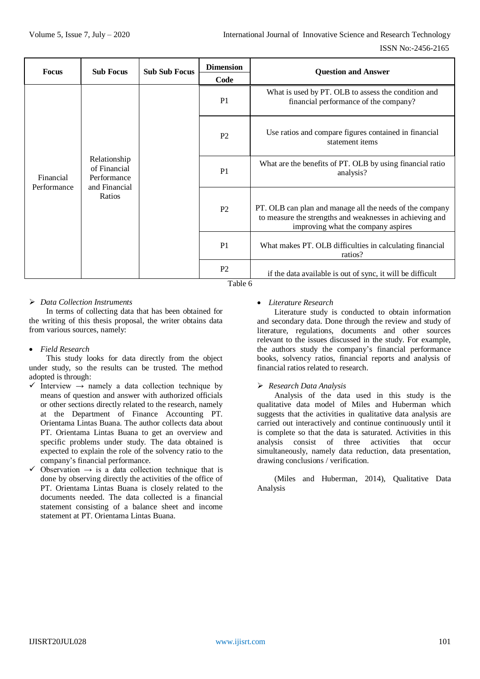| <b>Focus</b>             | <b>Sub Focus</b>                                                       | <b>Sub Sub Focus</b> | <b>Dimension</b><br>Code | <b>Question and Answer</b>                                                                                                                                 |
|--------------------------|------------------------------------------------------------------------|----------------------|--------------------------|------------------------------------------------------------------------------------------------------------------------------------------------------------|
| Financial<br>Performance | Relationship<br>of Financial<br>Performance<br>and Financial<br>Ratios |                      | P <sub>1</sub>           | What is used by PT. OLB to assess the condition and<br>financial performance of the company?                                                               |
|                          |                                                                        |                      | P <sub>2</sub>           | Use ratios and compare figures contained in financial<br>statement items                                                                                   |
|                          |                                                                        |                      | P <sub>1</sub>           | What are the benefits of PT. OLB by using financial ratio<br>analysis?                                                                                     |
|                          |                                                                        |                      | P <sub>2</sub>           | PT. OLB can plan and manage all the needs of the company<br>to measure the strengths and weaknesses in achieving and<br>improving what the company aspires |
|                          |                                                                        |                      | P <sub>1</sub>           | What makes PT. OLB difficulties in calculating financial<br>ratios?                                                                                        |
|                          |                                                                        |                      | P <sub>2</sub>           | if the data available is out of sync, it will be difficult                                                                                                 |

Table 6

## *Data Collection Instruments*

In terms of collecting data that has been obtained for the writing of this thesis proposal, the writer obtains data from various sources, namely:

#### *Field Research*

This study looks for data directly from the object under study, so the results can be trusted. The method adopted is through:

- $\checkmark$  Interview  $\to$  namely a data collection technique by means of question and answer with authorized officials or other sections directly related to the research, namely at the Department of Finance Accounting PT. Orientama Lintas Buana. The author collects data about PT. Orientama Lintas Buana to get an overview and specific problems under study. The data obtained is expected to explain the role of the solvency ratio to the company's financial performance.
- $\checkmark$  Observation  $\to$  is a data collection technique that is done by observing directly the activities of the office of PT. Orientama Lintas Buana is closely related to the documents needed. The data collected is a financial statement consisting of a balance sheet and income statement at PT. Orientama Lintas Buana.

#### *Literature Research*

Literature study is conducted to obtain information and secondary data. Done through the review and study of literature, regulations, documents and other sources relevant to the issues discussed in the study. For example, the authors study the company's financial performance books, solvency ratios, financial reports and analysis of financial ratios related to research.

#### *Research Data Analysis*

Analysis of the data used in this study is the qualitative data model of Miles and Huberman which suggests that the activities in qualitative data analysis are carried out interactively and continue continuously until it is complete so that the data is saturated. Activities in this analysis consist of three activities that occur simultaneously, namely data reduction, data presentation, drawing conclusions / verification.

(Miles and Huberman, 2014), Qualitative Data Analysis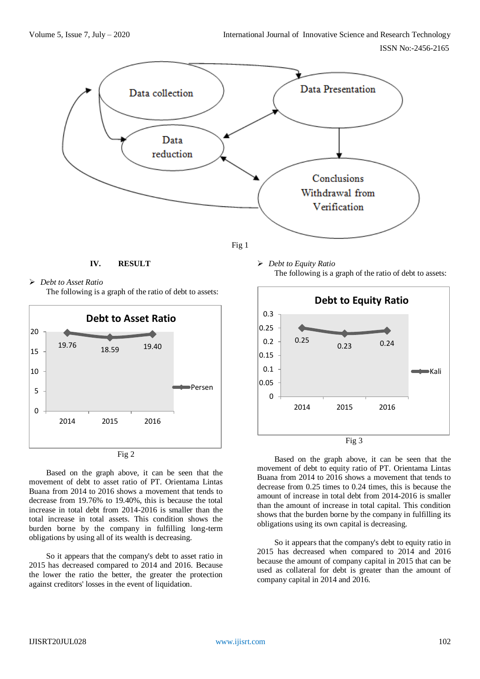



## **IV. RESULT**





Based on the graph above, it can be seen that the movement of debt to asset ratio of PT. Orientama Lintas Buana from 2014 to 2016 shows a movement that tends to decrease from 19.76% to 19.40%, this is because the total increase in total debt from 2014-2016 is smaller than the total increase in total assets. This condition shows the burden borne by the company in fulfilling long-term obligations by using all of its wealth is decreasing.

So it appears that the company's debt to asset ratio in 2015 has decreased compared to 2014 and 2016. Because the lower the ratio the better, the greater the protection against creditors' losses in the event of liquidation.

 *Debt to Equity Ratio* The following is a graph of the ratio of debt to assets:



Based on the graph above, it can be seen that the movement of debt to equity ratio of PT. Orientama Lintas Buana from 2014 to 2016 shows a movement that tends to decrease from 0.25 times to 0.24 times, this is because the amount of increase in total debt from 2014-2016 is smaller than the amount of increase in total capital. This condition shows that the burden borne by the company in fulfilling its obligations using its own capital is decreasing.

So it appears that the company's debt to equity ratio in 2015 has decreased when compared to 2014 and 2016 because the amount of company capital in 2015 that can be used as collateral for debt is greater than the amount of company capital in 2014 and 2016.